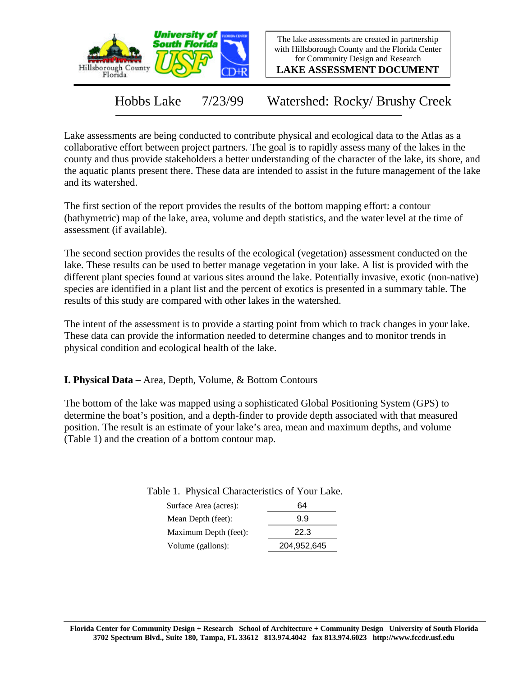



**LAKE ASSESSMENT DOCUMENT**

Hobbs Lake 7/23/99 Watershed: Rocky/ Brushy Creek

Lake assessments are being conducted to contribute physical and ecological data to the Atlas as a collaborative effort between project partners. The goal is to rapidly assess many of the lakes in the county and thus provide stakeholders a better understanding of the character of the lake, its shore, and the aquatic plants present there. These data are intended to assist in the future management of the lake and its watershed.

The first section of the report provides the results of the bottom mapping effort: a contour (bathymetric) map of the lake, area, volume and depth statistics, and the water level at the time of assessment (if available).

The second section provides the results of the ecological (vegetation) assessment conducted on the lake. These results can be used to better manage vegetation in your lake. A list is provided with the different plant species found at various sites around the lake. Potentially invasive, exotic (non-native) species are identified in a plant list and the percent of exotics is presented in a summary table. The results of this study are compared with other lakes in the watershed.

The intent of the assessment is to provide a starting point from which to track changes in your lake. These data can provide the information needed to determine changes and to monitor trends in physical condition and ecological health of the lake.

**I. Physical Data –** Area, Depth, Volume, & Bottom Contours

The bottom of the lake was mapped using a sophisticated Global Positioning System (GPS) to determine the boat's position, and a depth-finder to provide depth associated with that measured position. The result is an estimate of your lake's area, mean and maximum depths, and volume (Table 1) and the creation of a bottom contour map.

Table 1. Physical Characteristics of Your Lake.

| Surface Area (acres): | 64          |
|-----------------------|-------------|
| Mean Depth (feet):    | 9.9         |
| Maximum Depth (feet): | 22.3        |
| Volume (gallons):     | 204,952,645 |
|                       |             |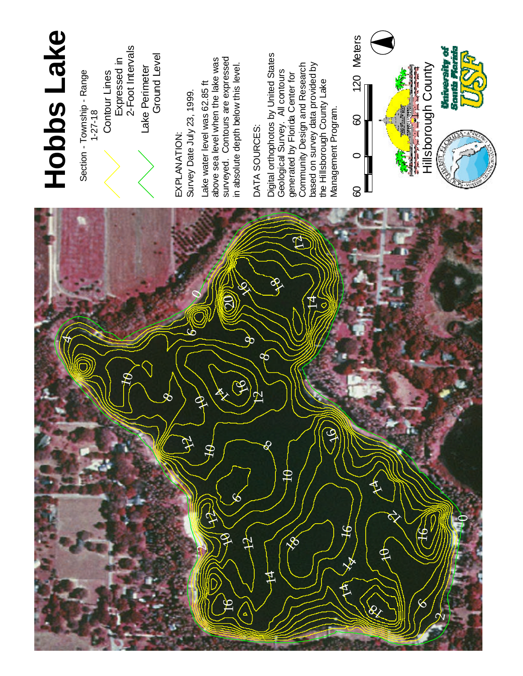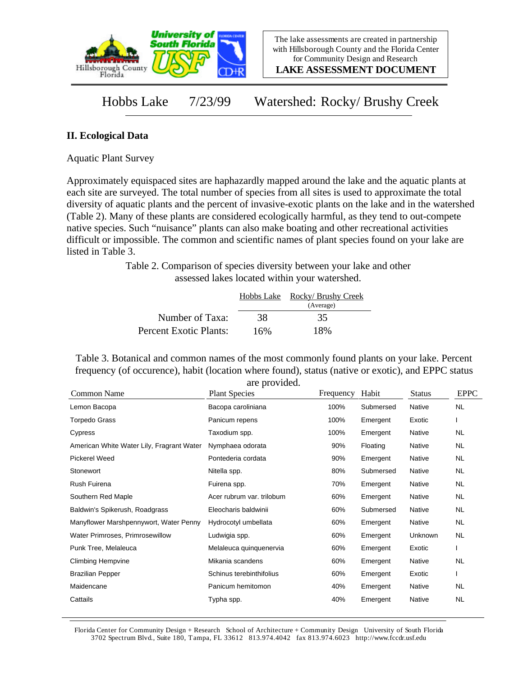

**LAKE ASSESSMENT DOCUMENT**

Hobbs Lake 7/23/99 Watershed: Rocky/ Brushy Creek

## **II. Ecological Data**

Aquatic Plant Survey

Approximately equispaced sites are haphazardly mapped around the lake and the aquatic plants at each site are surveyed. The total number of species from all sites is used to approximate the total diversity of aquatic plants and the percent of invasive-exotic plants on the lake and in the watershed (Table 2). Many of these plants are considered ecologically harmful, as they tend to out-compete native species. Such "nuisance" plants can also make boating and other recreational activities difficult or impossible. The common and scientific names of plant species found on your lake are listed in Table 3.

> Table 2. Comparison of species diversity between your lake and other assessed lakes located within your watershed.

|                        |     | Hobbs Lake Rocky/Brushy Creek |
|------------------------|-----|-------------------------------|
|                        |     | (Average)                     |
| Number of Taxa:        | 38  | 35                            |
| Percent Exotic Plants: | 16% | 18%                           |

Table 3. Botanical and common names of the most commonly found plants on your lake. Percent frequency (of occurence), habit (location where found), status (native or exotic), and EPPC status are provided.

| Common Name                               | are provided.<br><b>Plant Species</b> | Frequency | Habit     | <b>Status</b> | <b>EPPC</b> |
|-------------------------------------------|---------------------------------------|-----------|-----------|---------------|-------------|
| Lemon Bacopa                              | Bacopa caroliniana                    | 100%      | Submersed | Native        | <b>NL</b>   |
| Torpedo Grass                             | Panicum repens                        | 100%      | Emergent  | Exotic        |             |
| Cypress                                   | Taxodium spp.                         | 100%      | Emergent  | Native        | NL.         |
| American White Water Lily, Fragrant Water | Nymphaea odorata                      | 90%       | Floating  | Native        | <b>NL</b>   |
| <b>Pickerel Weed</b>                      | Pontederia cordata                    | 90%       | Emergent  | Native        | NL.         |
| Stonewort                                 | Nitella spp.                          | 80%       | Submersed | Native        | NL.         |
| Rush Fuirena                              | Fuirena spp.                          | 70%       | Emergent  | Native        | NL.         |
| Southern Red Maple                        | Acer rubrum var. trilobum             | 60%       | Emergent  | Native        | NL.         |
| Baldwin's Spikerush, Roadgrass            | Eleocharis baldwinii                  | 60%       | Submersed | Native        | NL.         |
| Manyflower Marshpennywort, Water Penny    | Hydrocotyl umbellata                  | 60%       | Emergent  | Native        | NL.         |
| Water Primroses, Primrosewillow           | Ludwigia spp.                         | 60%       | Emergent  | Unknown       | NL.         |
| Punk Tree, Melaleuca                      | Melaleuca quinquenervia               | 60%       | Emergent  | Exotic        |             |
| <b>Climbing Hempvine</b>                  | Mikania scandens                      | 60%       | Emergent  | Native        | <b>NL</b>   |
| <b>Brazilian Pepper</b>                   | Schinus terebinthifolius              | 60%       | Emergent  | Exotic        |             |
| Maidencane                                | Panicum hemitomon                     | 40%       | Emergent  | Native        | NL.         |
| Cattails                                  | Typha spp.                            | 40%       | Emergent  | Native        | <b>NL</b>   |

Florida Center for Community Design + Research School of Architecture + Community Design University of South Florida 3702 Spectrum Blvd., Suite 180, Tampa, FL 33612 813.974.4042 fax 813.974.6023 http://www.fccdr.usf.edu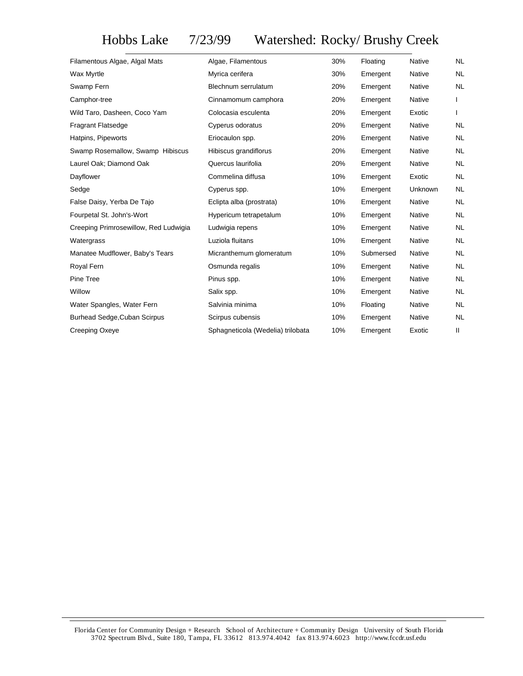## Hobbs Lake 7/23/99 Watershed: Rocky/ Brushy Creek

| Filamentous Algae, Algal Mats         | Algae, Filamentous                | 30% | Floating  | <b>Native</b> | <b>NL</b> |
|---------------------------------------|-----------------------------------|-----|-----------|---------------|-----------|
| Wax Myrtle                            | Myrica cerifera                   | 30% | Emergent  | Native        | <b>NL</b> |
| Swamp Fern                            | Blechnum serrulatum               | 20% | Emergent  | Native        | <b>NL</b> |
| Camphor-tree                          | Cinnamomum camphora               | 20% | Emergent  | <b>Native</b> |           |
| Wild Taro, Dasheen, Coco Yam          | Colocasia esculenta               | 20% | Emergent  | Exotic        |           |
| <b>Fragrant Flatsedge</b>             | Cyperus odoratus                  | 20% | Emergent  | Native        | NL        |
| Hatpins, Pipeworts                    | Eriocaulon spp.                   | 20% | Emergent  | Native        | NL        |
| Swamp Rosemallow, Swamp Hibiscus      | Hibiscus grandiflorus             | 20% | Emergent  | Native        | <b>NL</b> |
| Laurel Oak; Diamond Oak               | Quercus laurifolia                | 20% | Emergent  | Native        | NL        |
| Dayflower                             | Commelina diffusa                 | 10% | Emergent  | Exotic        | <b>NL</b> |
| Sedge                                 | Cyperus spp.                      | 10% | Emergent  | Unknown       | <b>NL</b> |
| False Daisy, Yerba De Tajo            | Eclipta alba (prostrata)          | 10% | Emergent  | Native        | <b>NL</b> |
| Fourpetal St. John's-Wort             | Hypericum tetrapetalum            | 10% | Emergent  | Native        | <b>NL</b> |
| Creeping Primrosewillow, Red Ludwigia | Ludwigia repens                   | 10% | Emergent  | Native        | <b>NL</b> |
| Watergrass                            | Luziola fluitans                  | 10% | Emergent  | Native        | NL.       |
| Manatee Mudflower, Baby's Tears       | Micranthemum glomeratum           | 10% | Submersed | Native        | <b>NL</b> |
| Royal Fern                            | Osmunda regalis                   | 10% | Emergent  | Native        | <b>NL</b> |
| Pine Tree                             | Pinus spp.                        | 10% | Emergent  | Native        | NL        |
| Willow                                | Salix spp.                        | 10% | Emergent  | Native        | <b>NL</b> |
| Water Spangles, Water Fern            | Salvinia minima                   | 10% | Floating  | <b>Native</b> | <b>NL</b> |
| <b>Burhead Sedge, Cuban Scirpus</b>   | Scirpus cubensis                  | 10% | Emergent  | Native        | <b>NL</b> |
| Creeping Oxeye                        | Sphagneticola (Wedelia) trilobata | 10% | Emergent  | Exotic        | Ш         |
|                                       |                                   |     |           |               |           |